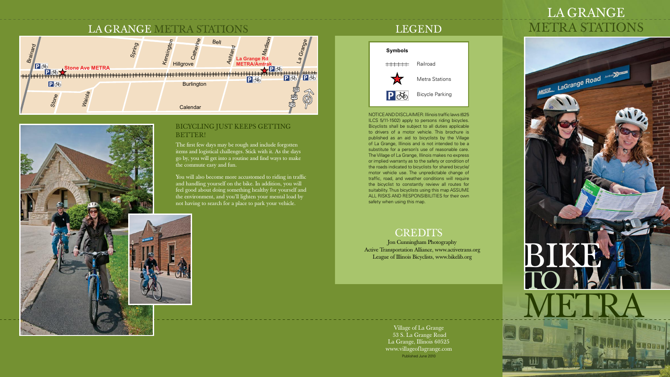# la Grange



## LEGEND



NOTICE AND DISCLAIMER: Illinois traffic laws (625 ILCS 5/11-1502) apply to persons riding bicycles. Bicyclists shall be subject to all duties applicable to drivers of a motor vehicle. This brochure is published as an aid to bicyclists by the Village of La Grange, Illinois and is not intended to be a substitute for a person's use of reasonable care. The Village of La Grange, Illinois makes no express or implied warranty as to the safety or condition of the roads indicated to bicyclists for shared bicycle/ motor vehicle use. The unpredictable change of traffic, road, and weather conditions will require the bicyclist to constantly review all routes for suitability. Thus bicyclists using this map ASSUME ALL RISKS AND RESPONSIBILITIES for their own safety when using this map.

## **CREDITS**





Village of La Grange 53 S. La Grange Road La Grange, Illinois 60525 www.villageoflagrange.com Published June 2010

## BICYCLING JUST KEEPS GETTING BETTER!

The first few days may be rough and include forgotten items and logistical challenges. Stick with it. As the days go by, you will get into a routine and find ways to make the commute easy and fun.

You will also become more accustomed to riding in traffic and handling yourself on the bike. In addition, you will feel good about doing something healthy for yourself and the environment, and you'll lighten your mental load by not having to search for a place to park your vehicle.

> Jon Cunningham Photography Active Transportation Alliance, www.activetrans.org League of Illinois Bicyclists, www.bikelib.org